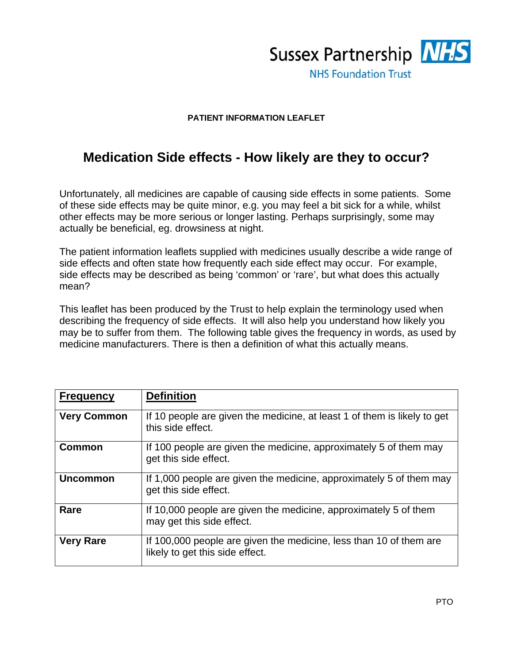

## **PATIENT INFORMATION LEAFLET**

## **Medication Side effects - How likely are they to occur?**

Unfortunately, all medicines are capable of causing side effects in some patients. Some of these side effects may be quite minor, e.g. you may feel a bit sick for a while, whilst other effects may be more serious or longer lasting. Perhaps surprisingly, some may actually be beneficial, eg. drowsiness at night.

The patient information leaflets supplied with medicines usually describe a wide range of side effects and often state how frequently each side effect may occur. For example, side effects may be described as being 'common' or 'rare', but what does this actually mean?

This leaflet has been produced by the Trust to help explain the terminology used when describing the frequency of side effects. It will also help you understand how likely you may be to suffer from them. The following table gives the frequency in words, as used by medicine manufacturers. There is then a definition of what this actually means.

| <b>Frequency</b>   | <b>Definition</b>                                                                                     |
|--------------------|-------------------------------------------------------------------------------------------------------|
| <b>Very Common</b> | If 10 people are given the medicine, at least 1 of them is likely to get<br>this side effect.         |
| <b>Common</b>      | If 100 people are given the medicine, approximately 5 of them may<br>get this side effect.            |
| <b>Uncommon</b>    | If 1,000 people are given the medicine, approximately 5 of them may<br>get this side effect.          |
| Rare               | If 10,000 people are given the medicine, approximately 5 of them<br>may get this side effect.         |
| <b>Very Rare</b>   | If 100,000 people are given the medicine, less than 10 of them are<br>likely to get this side effect. |